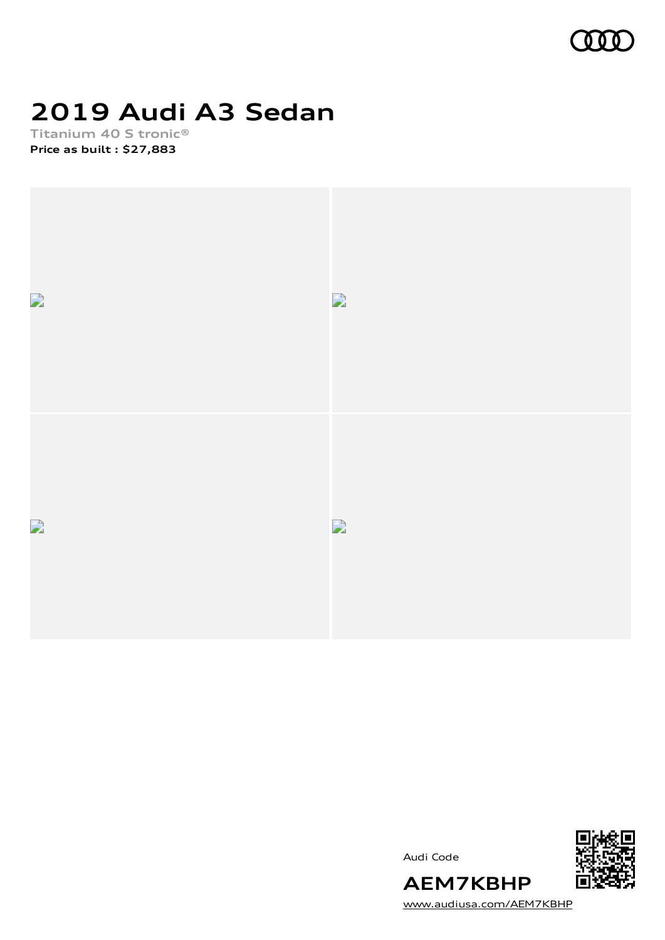

# **2019 Audi A3 Sedan**

**Titanium 40 S tronic® Price as built [:](#page-10-0) \$27,883**





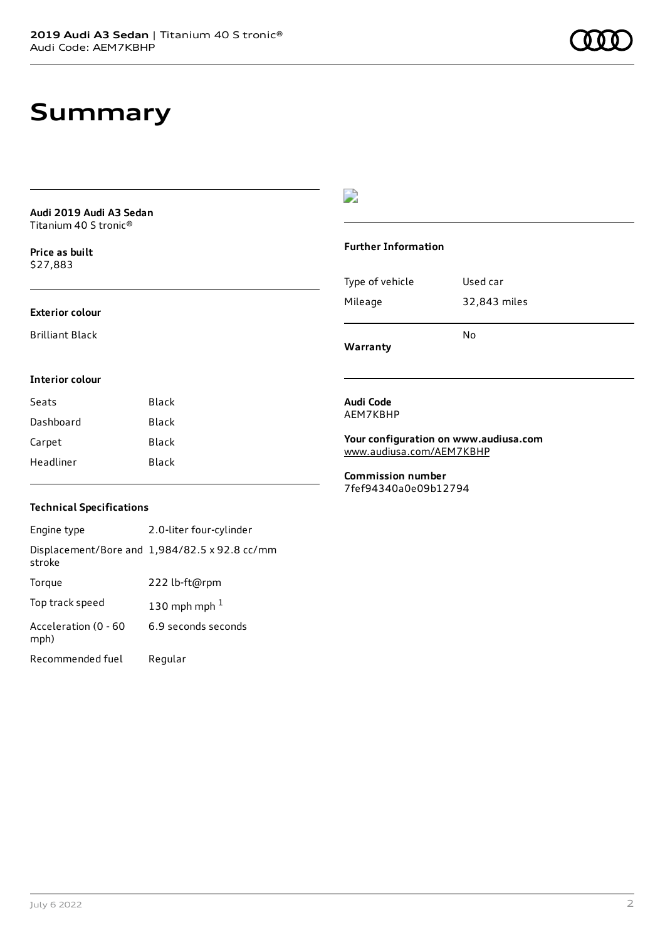### **Summary**

| Audi 2019 Audi A3 Sedan |  |
|-------------------------|--|
| Titanium 40 S tronic®   |  |

**Price as buil[t](#page-10-0)** \$27,883

#### **Exterior colour**

Brilliant Black

### $\overline{\phantom{a}}$

#### **Further Information**

| Warranty        | N٥           |
|-----------------|--------------|
| Mileage         | 32,843 miles |
| Type of vehicle | Used car     |

#### **Interior colour**

| Seats     | Black |
|-----------|-------|
| Dashboard | Black |
| Carpet    | Black |
| Headliner | Black |

#### **Audi Code** AEM7KBHP

**Your configuration on www.audiusa.com** [www.audiusa.com/AEM7KBHP](https://www.audiusa.com/AEM7KBHP)

**Commission number** 7fef94340a0e09b12794

#### **Technical Specifications**

| Engine type                  | 2.0-liter four-cylinder                       |
|------------------------------|-----------------------------------------------|
| stroke                       | Displacement/Bore and 1,984/82.5 x 92.8 cc/mm |
| Torque                       | 222 lb-ft@rpm                                 |
| Top track speed              | 130 mph mph $1$                               |
| Acceleration (0 - 60<br>mph) | 6.9 seconds seconds                           |
| Recommended fuel             | Regular                                       |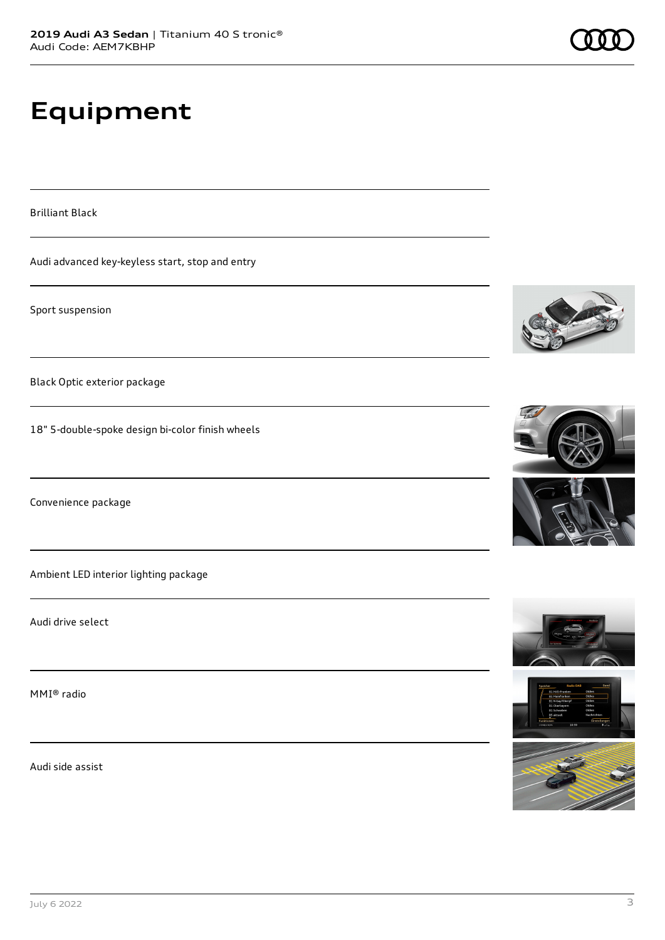# **Equipment**

Brilliant Black

Audi advanced key-keyless start, stop and entry

Sport suspension

Black Optic exterior package

18" 5-double-spoke design bi-color finish wheels

Convenience package

Ambient LED interior lighting package

Audi drive select

MMI® radio

Audi side assist













July 6 2022 3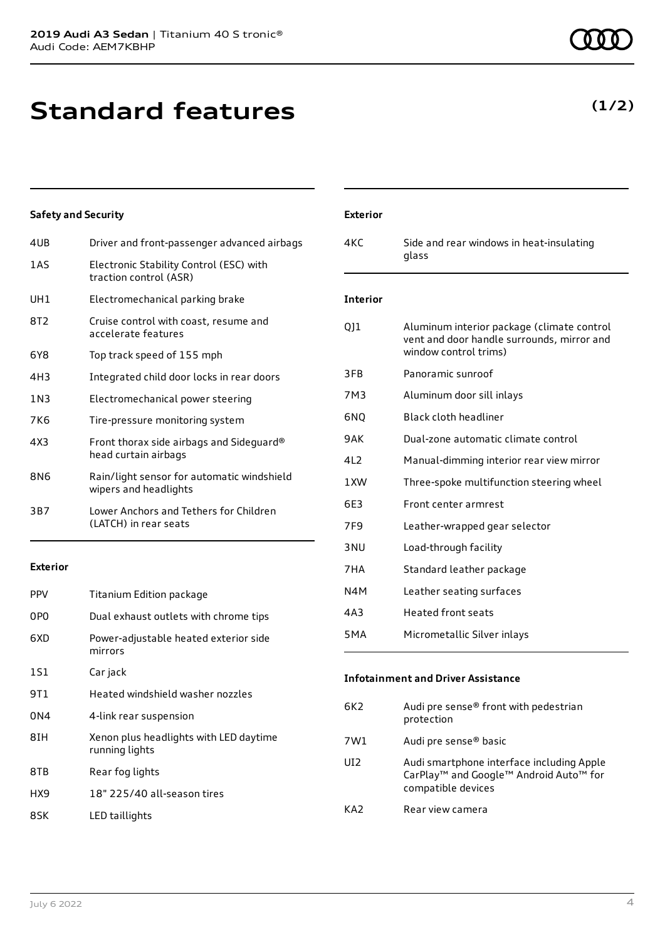**Standard features**

| 4UB             | Driver and front-passenger advanced airbags                         |
|-----------------|---------------------------------------------------------------------|
| 1 A S           | Electronic Stability Control (ESC) with<br>traction control (ASR)   |
| UH1             | Electromechanical parking brake                                     |
| 8T <sub>2</sub> | Cruise control with coast, resume and<br>accelerate features        |
| 6Y8             | Top track speed of 155 mph                                          |
| 4H3             | Integrated child door locks in rear doors                           |
| 1N3             | Electromechanical power steering                                    |
| 7K6             | Tire-pressure monitoring system                                     |
| 4X3             | Front thorax side airbags and Sideguard®<br>head curtain airbags    |
| 8N6             | Rain/light sensor for automatic windshield<br>wipers and headlights |
| 3B7             | Lower Anchors and Tethers for Children<br>(LATCH) in rear seats     |

**Exterior**

| <b>PPV</b> | Titanium Edition package                                 |
|------------|----------------------------------------------------------|
| 0PO        | Dual exhaust outlets with chrome tips                    |
| 6XD        | Power-adjustable heated exterior side<br>mirrors         |
| 1S1        | Car jack                                                 |
| 9T1        | Heated windshield washer nozzles                         |
| 0N4        | 4-link rear suspension                                   |
| 8IH        | Xenon plus headlights with LED daytime<br>running lights |
| 8TB        | Rear fog lights                                          |
| HX9        | 18" 225/40 all-season tires                              |
| 8SK        | LED taillights                                           |

**(1/2)**

| <b>Exterior</b> |                                                                                                                   |
|-----------------|-------------------------------------------------------------------------------------------------------------------|
| 4KC             | Side and rear windows in heat-insulating<br>glass                                                                 |
| <b>Interior</b> |                                                                                                                   |
| QJ1             | Aluminum interior package (climate control<br>vent and door handle surrounds, mirror and<br>window control trims) |
| 3FB             | Panoramic sunroof                                                                                                 |
| 7M3             | Aluminum door sill inlays                                                                                         |
| 6N <sub>0</sub> | Black cloth headliner                                                                                             |
| 9AK             | Dual-zone automatic climate control                                                                               |
| 4L2             | Manual-dimming interior rear view mirror                                                                          |
| 1 XW            | Three-spoke multifunction steering wheel                                                                          |
| 6E3             | Front center armrest                                                                                              |
| 7F <sub>9</sub> | Leather-wrapped gear selector                                                                                     |
| 3 <sub>NU</sub> | Load-through facility                                                                                             |
| 7HA             | Standard leather package                                                                                          |
| N4M             | Leather seating surfaces                                                                                          |
| 4A3             | <b>Heated front seats</b>                                                                                         |
| 5MA             | Micrometallic Silver inlays                                                                                       |

#### **Infotainment and Driver Assistance**

| 6K2 | Audi pre sense® front with pedestrian<br>protection                                                                                           |
|-----|-----------------------------------------------------------------------------------------------------------------------------------------------|
| 7W1 | Audi pre sense <sup>®</sup> basic                                                                                                             |
| UI2 | Audi smartphone interface including Apple<br>CarPlay <sup>™</sup> and Google <sup>™</sup> Android Auto <sup>™</sup> for<br>compatible devices |
| KA2 | Rear view camera                                                                                                                              |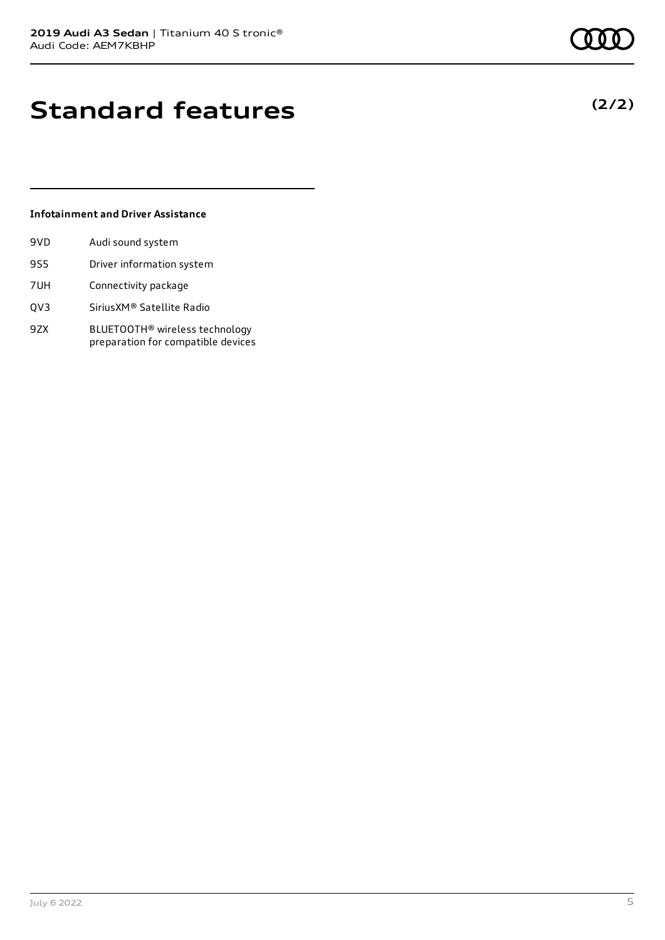### **Standard features**

#### **Infotainment and Driver Assistance**

| 9VD | Audi sound system         |
|-----|---------------------------|
| 9S5 | Driver information system |
| 7UH | Connectivity package      |

- QV3 SiriusXM® Satellite Radio
- 9ZX BLUETOOTH® wireless technology preparation for compatible devices

**(2/2)**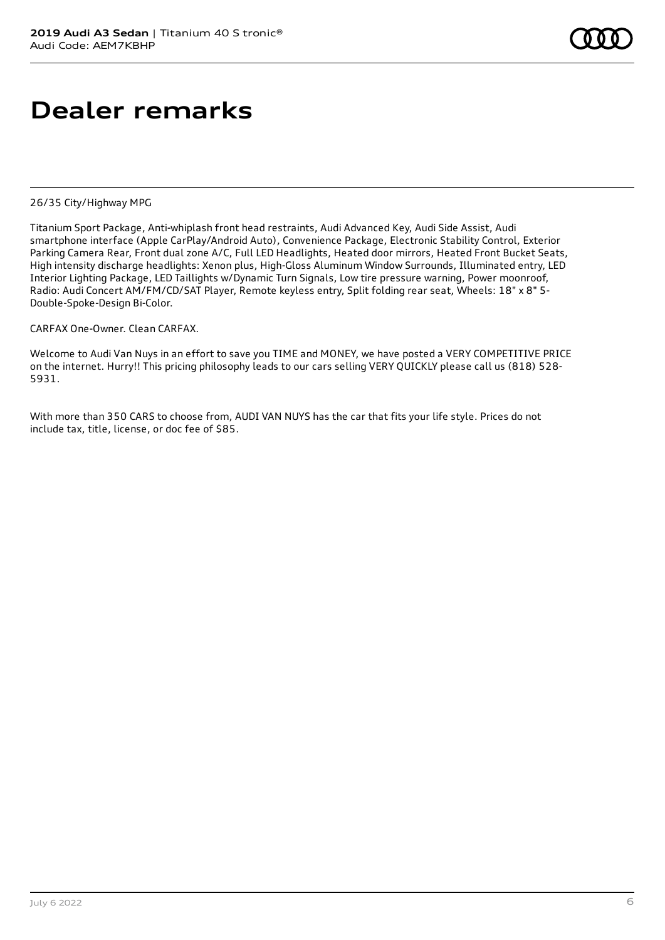# **Dealer remarks**

26/35 City/Highway MPG

Titanium Sport Package, Anti-whiplash front head restraints, Audi Advanced Key, Audi Side Assist, Audi smartphone interface (Apple CarPlay/Android Auto), Convenience Package, Electronic Stability Control, Exterior Parking Camera Rear, Front dual zone A/C, Full LED Headlights, Heated door mirrors, Heated Front Bucket Seats, High intensity discharge headlights: Xenon plus, High-Gloss Aluminum Window Surrounds, Illuminated entry, LED Interior Lighting Package, LED Taillights w/Dynamic Turn Signals, Low tire pressure warning, Power moonroof, Radio: Audi Concert AM/FM/CD/SAT Player, Remote keyless entry, Split folding rear seat, Wheels: 18" x 8" 5- Double-Spoke-Design Bi-Color.

CARFAX One-Owner. Clean CARFAX.

Welcome to Audi Van Nuys in an effort to save you TIME and MONEY, we have posted a VERY COMPETITIVE PRICE on the internet. Hurry!! This pricing philosophy leads to our cars selling VERY QUICKLY please call us (818) 528- 5931.

With more than 350 CARS to choose from, AUDI VAN NUYS has the car that fits your life style. Prices do not include tax, title, license, or doc fee of \$85.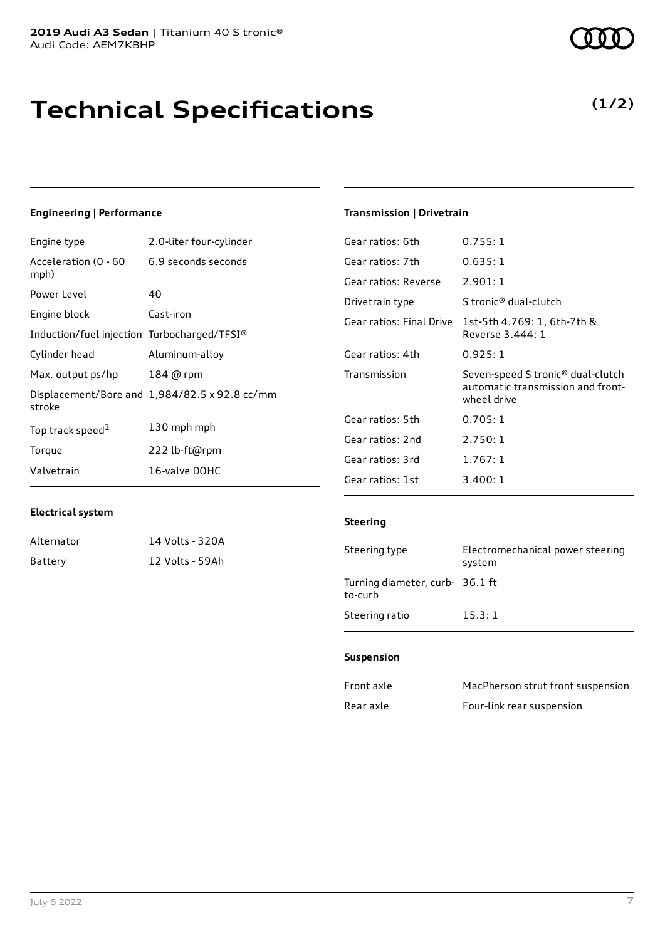# **Technical Specifications**

#### **Engineering | Performance**

| Engine type                                 | 2.0-liter four-cylinder                       |
|---------------------------------------------|-----------------------------------------------|
| Acceleration (0 - 60<br>mph)                | 6.9 seconds seconds                           |
| Power Level                                 | 40                                            |
| Engine block                                | Cast-iron                                     |
| Induction/fuel injection Turbocharged/TFSI® |                                               |
| Cylinder head                               | Aluminum-alloy                                |
| Max. output ps/hp                           | 184 @ rpm                                     |
| stroke                                      | Displacement/Bore and 1,984/82.5 x 92.8 cc/mm |
| Top track speed <sup>1</sup>                | 130 mph mph                                   |
| Torque                                      | 222 lb-ft@rpm                                 |
| Valvetrain                                  | 16-valve DOHC                                 |

#### **Transmission | Drivetrain**

| Gear ratios: 6th         | 0.755:1                                                                                           |
|--------------------------|---------------------------------------------------------------------------------------------------|
| Gear ratios: 7th         | 0.635:1                                                                                           |
| Gear ratios: Reverse     | 2.901:1                                                                                           |
| Drivetrain type          | S tronic® dual-clutch                                                                             |
| Gear ratios: Final Drive | 1st-5th 4.769: 1, 6th-7th &<br>Reverse 3.444: 1                                                   |
| Gear ratios: 4th         | 0.925: 1                                                                                          |
| Transmission             | Seven-speed S tronic <sup>®</sup> dual-clutch<br>automatic transmission and front-<br>wheel drive |
| Gear ratios: 5th         | 0.705:1                                                                                           |
| Gear ratios: 2nd         | 2.750:1                                                                                           |
| Gear ratios: 3rd         | 1.767:1                                                                                           |
|                          |                                                                                                   |

#### **Electrical system**

| Alternator | 14 Volts - 320A |
|------------|-----------------|
| Battery    | 12 Volts - 59Ah |

#### **Steering**

| Steering type                              | Electromechanical power steering<br>system |
|--------------------------------------------|--------------------------------------------|
| Turning diameter, curb- 36.1 ft<br>to-curb |                                            |
| Steering ratio                             | 15.3:1                                     |

#### **Suspension**

| Front axle | MacPherson strut front suspension |
|------------|-----------------------------------|
| Rear axle  | Four-link rear suspension         |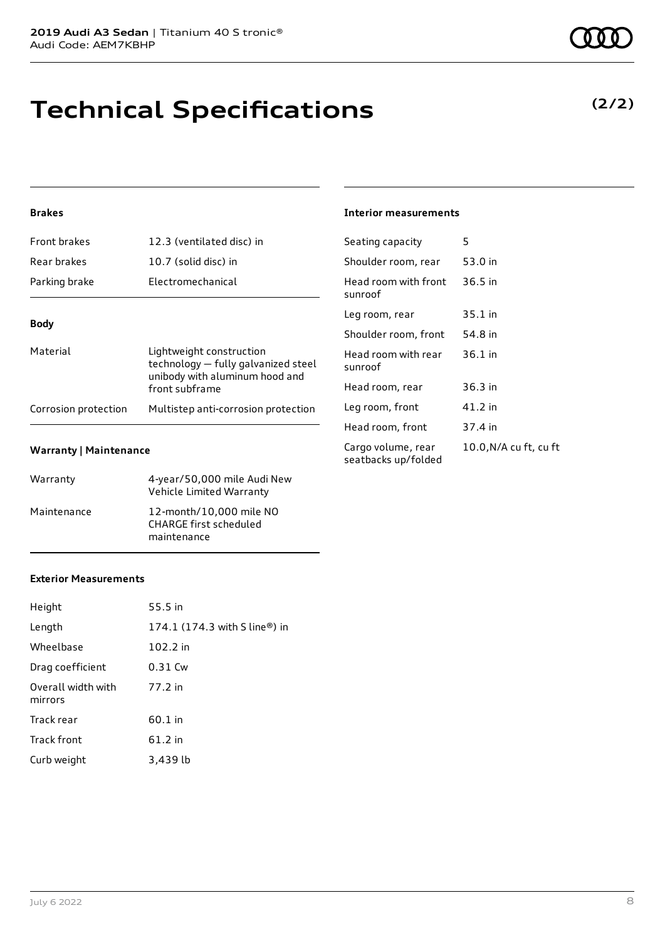# **Technical Specifications**

#### **(2/2)**

#### **Brakes**

| <b>Front brakes</b>  | 12.3 (ventilated disc) in                                                                                           |
|----------------------|---------------------------------------------------------------------------------------------------------------------|
| Rear brakes          | 10.7 (solid disc) in                                                                                                |
| Parking brake        | Electromechanical                                                                                                   |
| <b>Body</b>          |                                                                                                                     |
| Material             | Lightweight construction<br>technology - fully galvanized steel<br>unibody with aluminum hood and<br>front subframe |
| Corrosion protection | Multistep anti-corrosion protection                                                                                 |

#### **Warranty | Maintenance**

| Warranty    | 4-year/50,000 mile Audi New<br>Vehicle Limited Warranty                 |
|-------------|-------------------------------------------------------------------------|
| Maintenance | 12-month/10,000 mile NO<br><b>CHARGE first scheduled</b><br>maintenance |

#### **Interior measurements**

| Seating capacity                          | 5                      |
|-------------------------------------------|------------------------|
| Shoulder room, rear                       | 53.0 in                |
| Head room with front<br>sunroof           | 36.5 in                |
| Leg room, rear                            | 35.1 in                |
| Shoulder room, front                      | 54.8 in                |
| Head room with rear<br>sunroof            | $36.1$ in              |
| Head room, rear                           | $36.3$ in              |
| Leg room, front                           | 41.2 in                |
| Head room, front                          | 37.4 in                |
| Cargo volume, rear<br>seatbacks up/folded | 10.0, N/A cu ft, cu ft |

#### **Exterior Measurements**

| Height                        | 55.5 in                                                     |
|-------------------------------|-------------------------------------------------------------|
| Length                        | 174.1 $(174.3 \text{ with } S \text{ line}^{\circledR})$ in |
| Wheelbase                     | 102.2 in                                                    |
| Drag coefficient              | 0.31 Cw                                                     |
| Overall width with<br>mirrors | 77.2 in                                                     |
| Track rear                    | 60.1 in                                                     |
| <b>Track front</b>            | 61.2 in                                                     |
| Curb weight                   | 3,439 lb                                                    |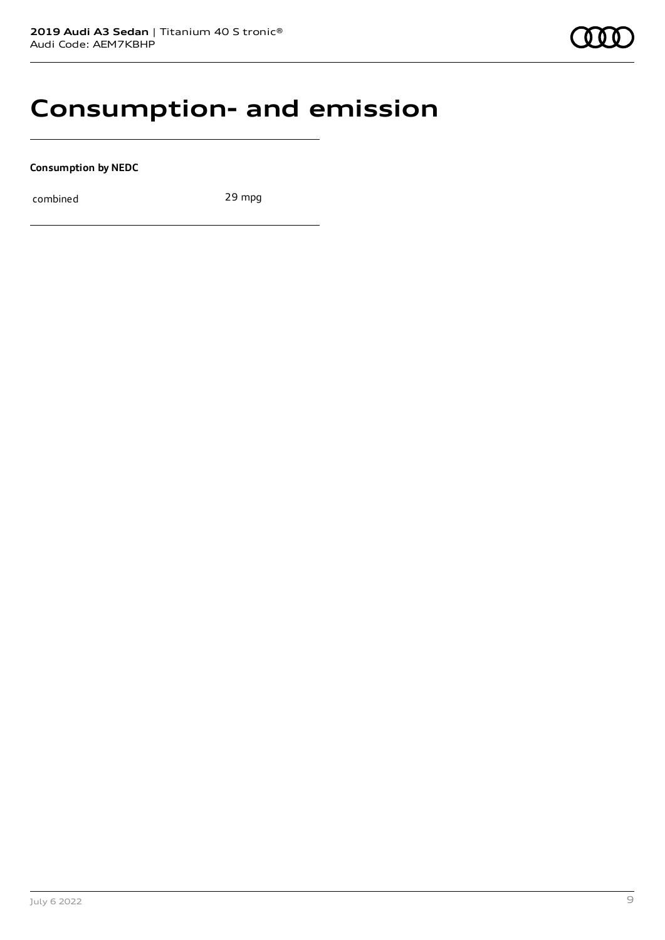### **Consumption- and emission**

**Consumption by NEDC**

combined 29 mpg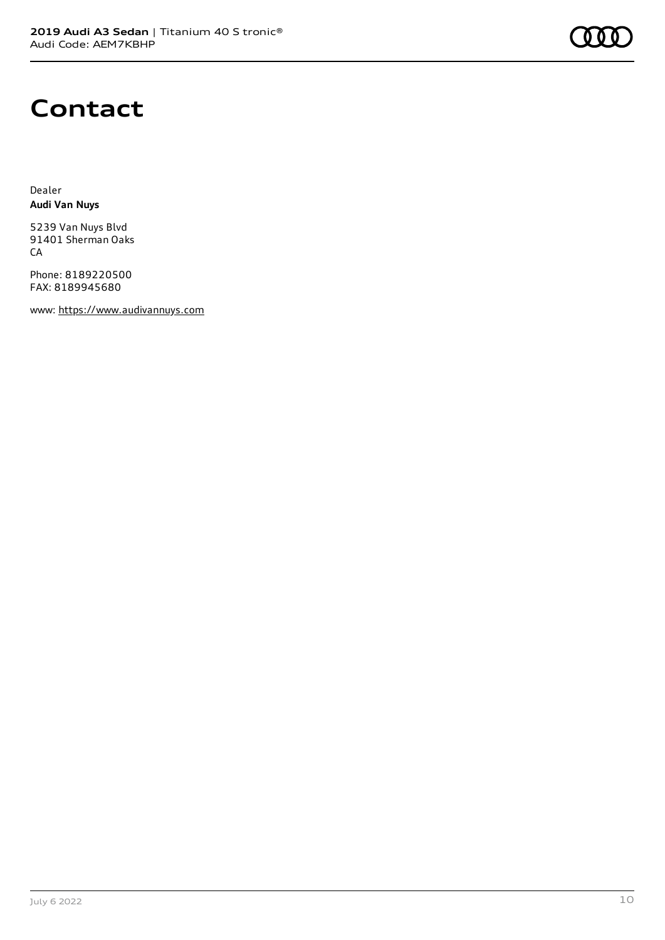

### **Contact**

Dealer **Audi Van Nuys**

5239 Van Nuys Blvd 91401 Sherman Oaks CA

Phone: 8189220500 FAX: 8189945680

www: [https://www.audivannuys.com](https://www.audivannuys.com/)